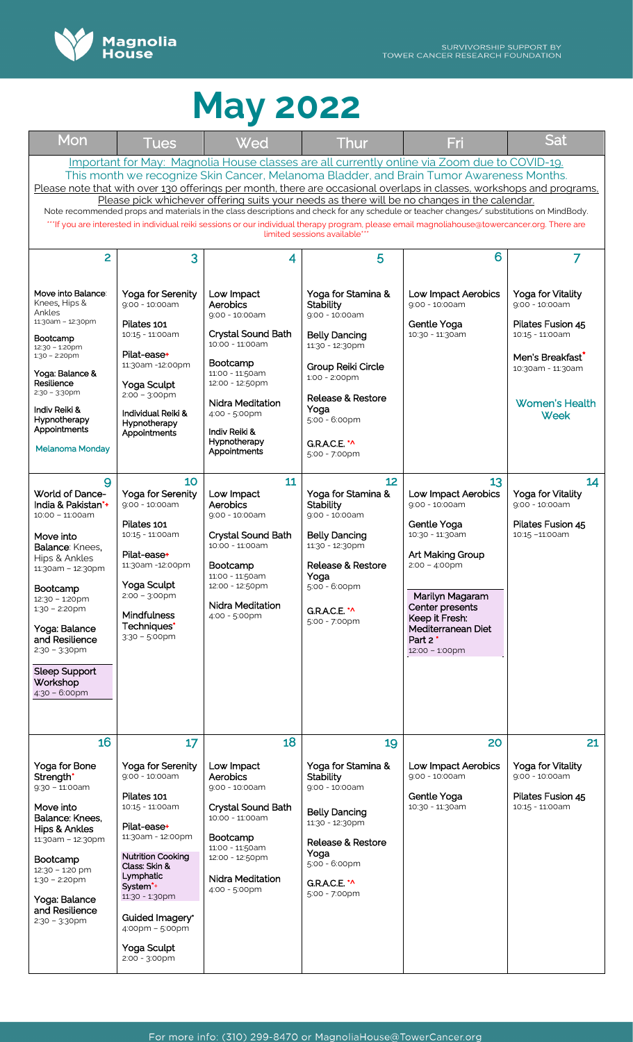

| Mon                                                                                                                                                                                                                                                                                                                                                                                                                                                                                                                                                                                                                                                                                                                                           | <u>Tues</u>                                                                                                                                                                                                                                                                               | Wed                                                                                                                                                                                                                         | Thur                                                                                                                                                                                                                                | Fri                                                                                                                                                                                                                                             | Sat                                                                                                                                                                        |  |  |  |
|-----------------------------------------------------------------------------------------------------------------------------------------------------------------------------------------------------------------------------------------------------------------------------------------------------------------------------------------------------------------------------------------------------------------------------------------------------------------------------------------------------------------------------------------------------------------------------------------------------------------------------------------------------------------------------------------------------------------------------------------------|-------------------------------------------------------------------------------------------------------------------------------------------------------------------------------------------------------------------------------------------------------------------------------------------|-----------------------------------------------------------------------------------------------------------------------------------------------------------------------------------------------------------------------------|-------------------------------------------------------------------------------------------------------------------------------------------------------------------------------------------------------------------------------------|-------------------------------------------------------------------------------------------------------------------------------------------------------------------------------------------------------------------------------------------------|----------------------------------------------------------------------------------------------------------------------------------------------------------------------------|--|--|--|
| Important for May: Magnolia House classes are all currently online via Zoom due to COVID-19.<br>This month we recognize Skin Cancer, Melanoma Bladder, and Brain Tumor Awareness Months.<br>Please note that with over 130 offerings per month, there are occasional overlaps in classes, workshops and programs,<br>Please pick whichever offering suits your needs as there will be no changes in the calendar.<br>Note recommended props and materials in the class descriptions and check for any schedule or teacher changes/substitutions on MindBody.<br>""If you are interested in individual reiki sessions or our individual therapy program, please email magnoliahouse@towercancer.org. There are<br>limited sessions available** |                                                                                                                                                                                                                                                                                           |                                                                                                                                                                                                                             |                                                                                                                                                                                                                                     |                                                                                                                                                                                                                                                 |                                                                                                                                                                            |  |  |  |
| 2                                                                                                                                                                                                                                                                                                                                                                                                                                                                                                                                                                                                                                                                                                                                             | 3                                                                                                                                                                                                                                                                                         | 4                                                                                                                                                                                                                           | 5                                                                                                                                                                                                                                   | 6                                                                                                                                                                                                                                               | 7                                                                                                                                                                          |  |  |  |
| Move into Balance:<br>Knees, Hips &<br>Ankles<br>11:30am - 12:30pm<br>Bootcamp<br>12:30 - 1:20pm<br>$1:30 - 2:20$ pm<br>Yoga: Balance &<br>Resilience<br>$2:30 - 3:30$ pm<br>Indiv Reiki &<br>Hypnotherapy<br>Appointments<br><b>Melanoma Monday</b>                                                                                                                                                                                                                                                                                                                                                                                                                                                                                          | Yoga for Serenity<br>9:00 - 10:00am<br>Pilates 101<br>10:15 - 11:00am<br>Pilat-ease+<br>11:30am -12:00pm<br>Yoga Sculpt<br>$2:00 - 3:00 \text{pm}$<br>Individual Reiki &<br>Hypnotherapy<br>Appointments                                                                                  | Low Impact<br>Aerobics<br>9:00 - 10:00am<br>Crystal Sound Bath<br>$10:00 - 11:00am$<br>Bootcamp<br>11:00 - 11:50am<br>12:00 - 12:50pm<br>Nidra Meditation<br>4:00 - 5:00pm<br>Indiv Reiki &<br>Hypnotherapy<br>Appointments | Yoga for Stamina &<br>Stability<br>9:00 - 10:00am<br><b>Belly Dancing</b><br>11:30 - 12:30pm<br>Group Reiki Circle<br>$1:00 - 2:00 \text{pm}$<br><b>Release &amp; Restore</b><br>Yoga<br>5:00 - 6:00pm<br>GRACE *^<br>5:00 - 7:00pm | Low Impact Aerobics<br>$9:00 - 10:00am$<br>Gentle Yoga<br>10:30 - 11:30am                                                                                                                                                                       | Yoga for Vitality<br>$9:00 - 10:00am$<br>Pilates Fusion 45<br>10:15 - 11:00am<br>Men's Breakfast <sup>*</sup><br>10:30am - 11:30am<br><b>Women's Health</b><br><b>Week</b> |  |  |  |
| 9<br><b>World of Dance-</b><br>India & Pakistan*+<br>$10:00 - 11:00am$<br>Move into<br>Balance: Knees,<br>Hips & Ankles<br>11:30am - 12:30pm<br>Bootcamp<br>12:30 - 1:20pm<br>$1:30 - 2:20$ pm<br>Yoga: Balance<br>and Resilience<br>$2:30 - 3:30$ pm<br>Sleep Support<br>Workshop<br>4:30 - 6:00pm                                                                                                                                                                                                                                                                                                                                                                                                                                           | 10<br>Yoga for Serenity<br>$9:00 - 10:00am$<br>Pilates 101<br>10:15 - 11:00am<br>Pilat-ease+<br>11:30am -12:00pm<br>Yoga Sculpt<br>$2:00 - 3:00$ pm<br>Mindfulness<br>Techniques*<br>$3:30 - 5:00$ pm                                                                                     | 11<br>Low Impact<br>Aerobics<br>9:00 - 10:00am<br>Crystal Sound Bath<br>10:00 - 11:00am<br>Bootcamp<br>11:00 - 11:50am<br>12:00 - 12:50pm<br>Nidra Meditation<br>4:00 - 5:00pm                                              | 12<br>Yoga for Stamina &<br>Stability<br>9:00 - 10:00am<br><b>Belly Dancing</b><br>11:30 - 12:30pm<br><b>Release &amp; Restore</b><br>Yoga<br>5:00 - 6:00pm<br><b>G.R.A.C.E. *^</b><br>5:00 - 7:00pm                                | 13<br>Low Impact Aerobics<br>9:00 - 10:00am<br>Gentle Yoga<br>10:30 - 11:30am<br>Art Making Group<br>$2:00 - 4:00$ pm<br>Marilyn Magaram<br>Center presents<br>Keep it Fresh:<br>Mediterranean Diet<br>Part 2 <sup>*</sup><br>$12:00 - 1:00$ pm | 14<br>Yoga for Vitality<br>$9:00 - 10:00am$<br>Pilates Fusion 45<br>10:15 -11:00am                                                                                         |  |  |  |
| 16<br>Yoga for Bone<br>Strength <sup>*</sup><br>$9:30 - 11:00$ am<br>Move into<br>Balance: Knees,<br>Hips & Ankles<br>11:30am - 12:30pm<br>Bootcamp<br>12:30 - 1:20 pm<br>$1:30 - 2:20$ pm<br>Yoga: Balance<br>and Resilience<br>$2:30 - 3:30$ pm                                                                                                                                                                                                                                                                                                                                                                                                                                                                                             | 17<br>Yoga for Serenity<br>9:00 - 10:00am<br>Pilates 101<br>10:15 - 11:00am<br>Pilat-ease+<br>11:30am - 12:00pm<br><b>Nutrition Cooking</b><br>Class: Skin &<br>Lymphatic<br>System <sup>*+</sup><br>11:30 - 1:30pm<br>Guided Imagery*<br>4:00pm - 5:00pm<br>Yoga Sculpt<br>2:00 - 3:00pm | 18<br>Low Impact<br>Aerobics<br>9:00 - 10:00am<br>Crystal Sound Bath<br>10:00 - 11:00am<br>Bootcamp<br>11:00 - 11:50am<br>12:00 - 12:50pm<br><b>Nidra Meditation</b><br>4:00 - 5:00pm                                       | 19<br>Yoga for Stamina &<br>Stability<br>9:00 - 10:00am<br><b>Belly Dancing</b><br>11:30 - 12:30pm<br>Release & Restore<br>Yoga<br>$5:00 - 6:00$ pm<br>G.R.A.C.E. *^<br>5:00 - 7:00pm                                               | 20<br>Low Impact Aerobics<br>9:00 - 10:00am<br>Gentle Yoga<br>10:30 - 11:30am                                                                                                                                                                   | 21<br>Yoga for Vitality<br>9:00 - 10:00am<br>Pilates Fusion 45<br>10:15 - 11:00am                                                                                          |  |  |  |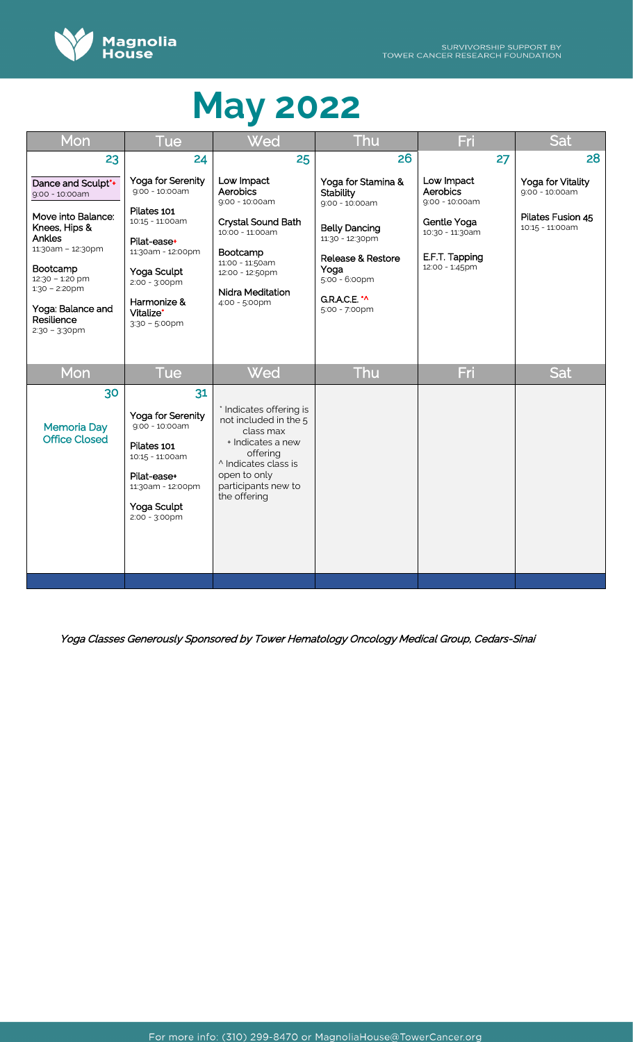

| Mon                                                                                                                                                                                                                  | Tue                                                                                                                                                                                          | Wed                                                                                                                                                                           | Thu                                                                                                                                                                                                  | Fri                                                                                                            | Sat                                                                         |
|----------------------------------------------------------------------------------------------------------------------------------------------------------------------------------------------------------------------|----------------------------------------------------------------------------------------------------------------------------------------------------------------------------------------------|-------------------------------------------------------------------------------------------------------------------------------------------------------------------------------|------------------------------------------------------------------------------------------------------------------------------------------------------------------------------------------------------|----------------------------------------------------------------------------------------------------------------|-----------------------------------------------------------------------------|
| 23                                                                                                                                                                                                                   | 24                                                                                                                                                                                           | 25                                                                                                                                                                            | 26                                                                                                                                                                                                   | 27                                                                                                             | 28                                                                          |
| Dance and Sculpt*+<br>9:00 - 10:00am<br>Move into Balance:<br>Knees, Hips &<br>Ankles<br>11:30am - 12:30pm<br>Bootcamp<br>12:30 - 1:20 pm<br>$1:30 - 2:20$ pm<br>Yoga: Balance and<br>Resilience<br>$2:30 - 3:30$ pm | Yoga for Serenity<br>$9:00 - 10:00$ am<br>Pilates 101<br>10:15 - 11:00am<br>Pilat-ease+<br>11:30am - 12:00pm<br>Yoga Sculpt<br>2:00 - 3:00pm<br>Harmonize &<br>Vitalize*<br>$3:30 - 5:00$ pm | Low Impact<br>Aerobics<br>9:00 - 10:00am<br>Crystal Sound Bath<br>10:00 - 11:00am<br>Bootcamp<br>11:00 - 11:50am<br>12:00 - 12:50pm<br>Nidra Meditation<br>4:00 - 5:00pm      | Yoga for Stamina &<br>Stability<br>9:00 - 10:00am<br><b>Belly Dancing</b><br>11:30 - 12:30pm<br><b>Release &amp; Restore</b><br>Yoga<br>$5:00 - 6:00$ pm<br>G.R.A.C.E. <sup>*</sup><br>5:00 - 7:00pm | Low Impact<br>Aerobics<br>9:00 - 10:00am<br>Gentle Yoga<br>10:30 - 11:30am<br>E.F.T. Tapping<br>12:00 - 1:45pm | Yoga for Vitality<br>9:00 - 10:00am<br>Pilates Fusion 45<br>10:15 - 11:00am |
| Mon                                                                                                                                                                                                                  | Tue                                                                                                                                                                                          | Wed                                                                                                                                                                           | Thu                                                                                                                                                                                                  | Fri                                                                                                            | Sat                                                                         |
| 30<br><b>Memoria Day</b><br><b>Office Closed</b>                                                                                                                                                                     | 31<br>Yoga for Serenity<br>9:00 - 10:00am<br>Pilates 101<br>10:15 - 11:00am<br>Pilat-ease+<br>11:30am - 12:00pm<br>Yoga Sculpt<br>2:00 - 3:00pm                                              | * Indicates offering is<br>not included in the 5<br>class max<br>+ Indicates a new<br>offering<br>^ Indicates class is<br>open to only<br>participants new to<br>the offering |                                                                                                                                                                                                      |                                                                                                                |                                                                             |
|                                                                                                                                                                                                                      |                                                                                                                                                                                              |                                                                                                                                                                               |                                                                                                                                                                                                      |                                                                                                                |                                                                             |

Yoga Classes Generously Sponsored by Tower Hematology Oncology Medical Group, Cedars-Sinai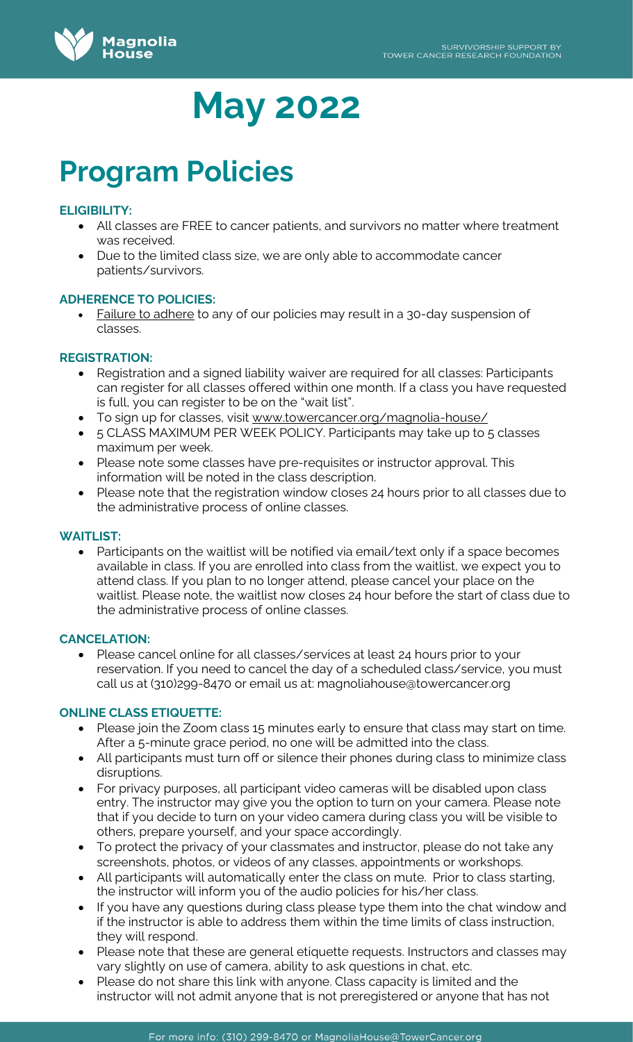

# **Program Policies**

# **ELIGIBILITY:**

- All classes are FREE to cancer patients, and survivors no matter where treatment was received.
- Due to the limited class size, we are only able to accommodate cancer patients/survivors.

# **ADHERENCE TO POLICIES:**

• Failure to adhere to any of our policies may result in a 30-day suspension of classes.

# **REGISTRATION:**

- Registration and a signed liability waiver are required for all classes: Participants can register for all classes offered within one month. If a class you have requested is full, you can register to be on the "wait list".
- To sign up for classes, visit [www.towercancer.org/magnolia-house/](http://www.towercancer.org/magnolia-house/)
- 5 CLASS MAXIMUM PER WEEK POLICY. Participants may take up to 5 classes maximum per week.
- Please note some classes have pre-requisites or instructor approval. This information will be noted in the class description.
- Please note that the registration window closes 24 hours prior to all classes due to the administrative process of online classes.

# **WAITLIST:**

• Participants on the waitlist will be notified via email/text only if a space becomes available in class. If you are enrolled into class from the waitlist, we expect you to attend class. If you plan to no longer attend, please cancel your place on the waitlist. Please note, the waitlist now closes 24 hour before the start of class due to the administrative process of online classes.

# **CANCELATION:**

• Please cancel online for all classes/services at least 24 hours prior to your reservation. If you need to cancel the day of a scheduled class/service, you must call us at (310)299-8470 or email us at: magnoliahouse@towercancer.org

# **ONLINE CLASS ETIQUETTE:**

- Please join the Zoom class 15 minutes early to ensure that class may start on time. After a 5-minute grace period, no one will be admitted into the class.
- All participants must turn off or silence their phones during class to minimize class disruptions.
- For privacy purposes, all participant video cameras will be disabled upon class entry. The instructor may give you the option to turn on your camera. Please note that if you decide to turn on your video camera during class you will be visible to others, prepare yourself, and your space accordingly.
- To protect the privacy of your classmates and instructor, please do not take any screenshots, photos, or videos of any classes, appointments or workshops.
- All participants will automatically enter the class on mute. Prior to class starting, the instructor will inform you of the audio policies for his/her class.
- If you have any questions during class please type them into the chat window and if the instructor is able to address them within the time limits of class instruction, they will respond.
- Please note that these are general etiquette requests. Instructors and classes may vary slightly on use of camera, ability to ask questions in chat, etc.
- Please do not share this link with anyone. Class capacity is limited and the instructor will not admit anyone that is not preregistered or anyone that has not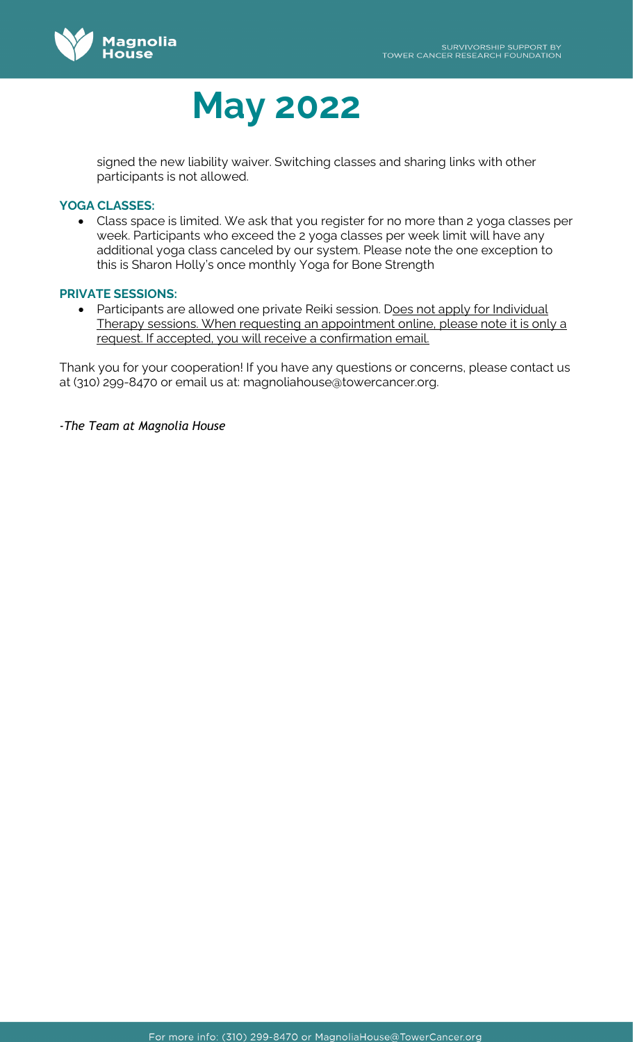

signed the new liability waiver. Switching classes and sharing links with other participants is not allowed.

# **YOGA CLASSES:**

• Class space is limited. We ask that you register for no more than 2 yoga classes per week. Participants who exceed the 2 yoga classes per week limit will have any additional yoga class canceled by our system. Please note the one exception to this is Sharon Holly's once monthly Yoga for Bone Strength

### **PRIVATE SESSIONS:**

• Participants are allowed one private Reiki session. Does not apply for Individual Therapy sessions. When requesting an appointment online, please note it is only a request. If accepted, you will receive a confirmation email.

Thank you for your cooperation! If you have any questions or concerns, please contact us at (310) 299-8470 or email us at: magnoliahouse@towercancer.org.

*-The Team at Magnolia House*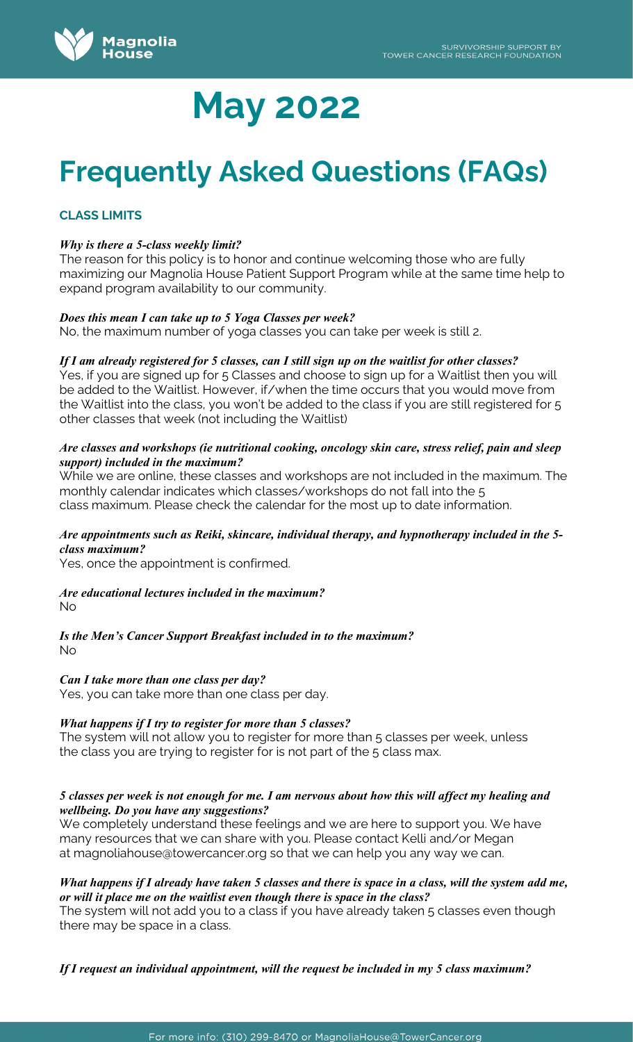

# **Frequently Asked Questions (FAQs)**

# **CLASS LIMITS**

### *Why is there a 5-class weekly limit?*

The reason for this policy is to honor and continue welcoming those who are fully maximizing our Magnolia House Patient Support Program while at the same time help to expand program availability to our community.

### *Does this mean I can take up to 5 Yoga Classes per week?*

No, the maximum number of yoga classes you can take per week is still 2.

### *If I am already registered for 5 classes, can I still sign up on the waitlist for other classes?*

Yes, if you are signed up for 5 Classes and choose to sign up for a Waitlist then you will be added to the Waitlist. However, if/when the time occurs that you would move from the Waitlist into the class, you won't be added to the class if you are still registered for 5 other classes that week (not including the Waitlist)

### *Are classes and workshops (ie nutritional cooking, oncology skin care, stress relief, pain and sleep support) included in the maximum?*

While we are online, these classes and workshops are not included in the maximum. The monthly calendar indicates which classes/workshops do not fall into the 5 class maximum. Please check the calendar for the most up to date information.

### *Are appointments such as Reiki, skincare, individual therapy, and hypnotherapy included in the 5 class maximum?*

Yes, once the appointment is confirmed.

#### *Are educational lectures included in the maximum?*  No

*Is the Men's Cancer Support Breakfast included in to the maximum?* No

#### *Can I take more than one class per day?*

Yes, you can take more than one class per day.

# *What happens if I try to register for more than 5 classes?*

The system will not allow you to register for more than 5 classes per week, unless the class you are trying to register for is not part of the 5 class max.

### *5 classes per week is not enough for me. I am nervous about how this will affect my healing and wellbeing. Do you have any suggestions?*

We completely understand these feelings and we are here to support you. We have many resources that we can share with you. Please contact Kelli and/or Megan at [magnoliahouse@towercancer.org](mailto:magnoliahouse@towercancer.org) so that we can help you any way we can.

### *What happens if I already have taken 5 classes and there is space in a class, will the system add me, or will it place me on the waitlist even though there is space in the class?*

The system will not add you to a class if you have already taken 5 classes even though there may be space in a class.

*If I request an individual appointment, will the request be included in my 5 class maximum?*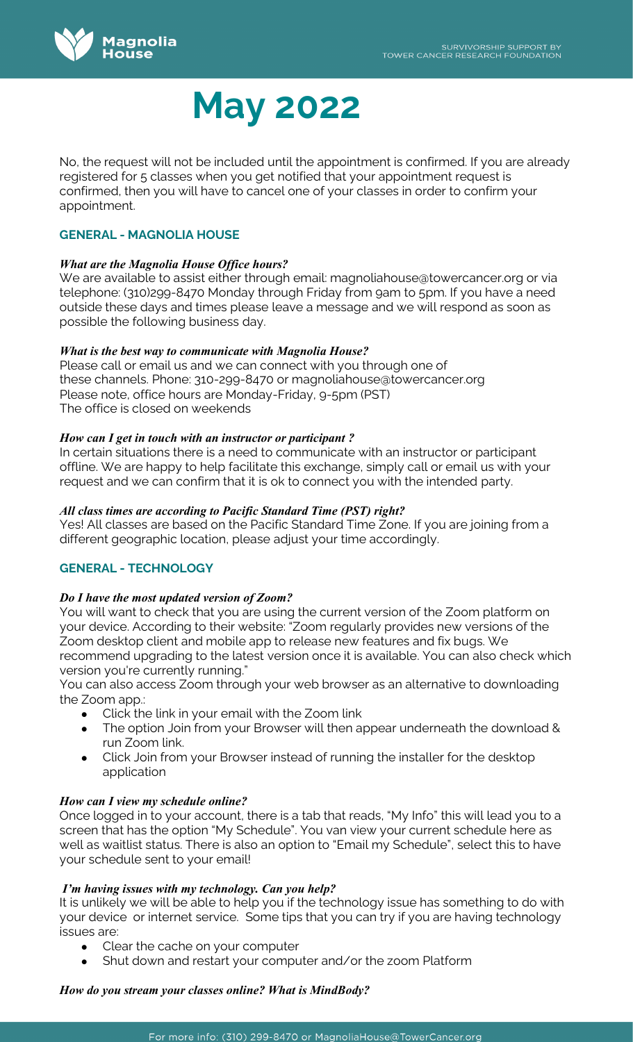

No, the request will not be included until the appointment is confirmed. If you are already registered for 5 classes when you get notified that your appointment request is confirmed, then you will have to cancel one of your classes in order to confirm your appointment.

# **GENERAL - MAGNOLIA HOUSE**

# *What are the Magnolia House Office hours?*

We are available to assist either through email: [magnoliahouse@towercancer.org](mailto:magnoliahouse@towercancer.org) or via telephone: (310)299-8470 Monday through Friday from 9am to 5pm. If you have a need outside these days and times please leave a message and we will respond as soon as possible the following business day.

# *What is the best way to communicate with Magnolia House?*

Please call or email us and we can connect with you through one of these channels. Phone: 310-299-8470 or [magnoliahouse@towercancer.org](mailto:magnoliahouse@towercancer.org)  Please note, office hours are Monday-Friday, 9-5pm (PST) The office is closed on weekends

# *How can I get in touch with an instructor or participant ?*

In certain situations there is a need to communicate with an instructor or participant offline. We are happy to help facilitate this exchange, simply call or email us with your request and we can confirm that it is ok to connect you with the intended party.

# *All class times are according to Pacific Standard Time (PST) right?*

Yes! All classes are based on the Pacific Standard Time Zone. If you are joining from a different geographic location, please adjust your time accordingly.

# **GENERAL - TECHNOLOGY**

# *Do I have the most updated version of Zoom?*

You will want to check that you are using the current version of the Zoom platform on your device. According to their website: "Zoom [regularly provides new versions](https://support.zoom.us/hc/en-us/articles/360042414611) of the Zoom desktop client and mobile app to release new features and fix bugs. We recommend upgrading to the latest version once it is available. You can also [check which](https://support.zoom.us/hc/en-us/articles/201362393)  [version you're currently running."](https://support.zoom.us/hc/en-us/articles/201362393)

You can also access Zoom through your web browser as an alternative to downloading the Zoom app.:

- Click the link in your email with the Zoom link
- The option Join from your Browser will then appear underneath the download & run Zoom link.
- Click Join from your Browser instead of running the installer for the desktop application

# *How can I view my schedule online?*

Once logged in to your account, there is a tab that reads, "My Info" this will lead you to a screen that has the option "My Schedule". You van view your current schedule here as well as waitlist status. There is also an option to "Email my Schedule", select this to have your schedule sent to your email!

# *I'm having issues with my technology. Can you help?*

It is unlikely we will be able to help you if the technology issue has something to do with your device or internet service. Some tips that you can try if you are having technology issues are:

- Clear the cache on your computer
- Shut down and restart your computer and/or the zoom Platform

# *How do you stream your classes online? What is MindBody?*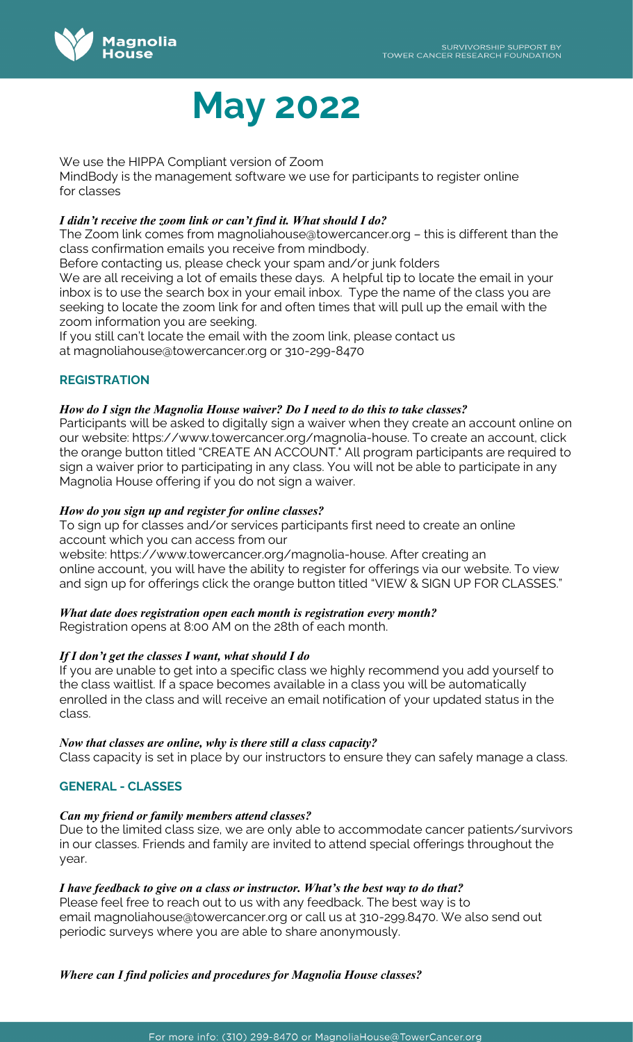

We use the HIPPA Compliant version of Zoom

MindBody is the management software we use for participants to register online for classes

# *I didn't receive the zoom link or can't find it. What should I do?*

The Zoom link comes from [magnoliahouse@towercancer.org](mailto:magnoliahouse@towercancer.org) – this is different than the class confirmation emails you receive from mindbody.

Before contacting us, please check your spam and/or junk folders We are all receiving a lot of emails these days. A helpful tip to locate the email in your inbox is to use the search box in your email inbox. Type the name of the class you are seeking to locate the zoom link for and often times that will pull up the email with the zoom information you are seeking.

If you still can't locate the email with the zoom link, please contact us at [magnoliahouse@towercancer.org](mailto:magnoliahouse@towercancer.org) or 310-299-8470

# **REGISTRATION**

# *How do I sign the Magnolia House waiver? Do I need to do this to take classes?*

Participants will be asked to digitally sign a waiver when they create an account online on our website: [https://www.towercancer.org/magnolia-house.](https://www.towercancer.org/magnolia-house) To create an account, click the orange button titled "CREATE AN ACCOUNT." All program participants are required to sign a waiver prior to participating in any class. You will not be able to participate in any Magnolia House offering if you do not sign a waiver.

### *How do you sign up and register for online classes?*

To sign up for classes and/or services participants first need to create an online account which you can access from our

website: [https://www.towercancer.org/magnolia-house.](https://www.towercancer.org/magnolia-house) After creating an online account, you will have the ability to register for offerings via our website. To view and sign up for offerings click the orange button titled "VIEW & SIGN UP FOR CLASSES."

# *What date does registration open each month is registration every month?*

Registration opens at 8:00 AM on the 28th of each month.

# *If I don't get the classes I want, what should I do*

If you are unable to get into a specific class we highly recommend you add yourself to the class waitlist. If a space becomes available in a class you will be automatically enrolled in the class and will receive an email notification of your updated status in the class.

#### *Now that classes are online, why is there still a class capacity?*

Class capacity is set in place by our instructors to ensure they can safely manage a class.

# **GENERAL - CLASSES**

# *Can my friend or family members attend classes?*

Due to the limited class size, we are only able to accommodate cancer patients/survivors in our classes. Friends and family are invited to attend special offerings throughout the year.

# *I have feedback to give on a class or instructor. What's the best way to do that?*

Please feel free to reach out to us with any feedback. The best way is to email [magnoliahouse@towercancer.org](mailto:magnoliahouse@towercancer.org) or call us at 310-299.8470. We also send out periodic surveys where you are able to share anonymously.

# *Where can I find policies and procedures for Magnolia House classes?*